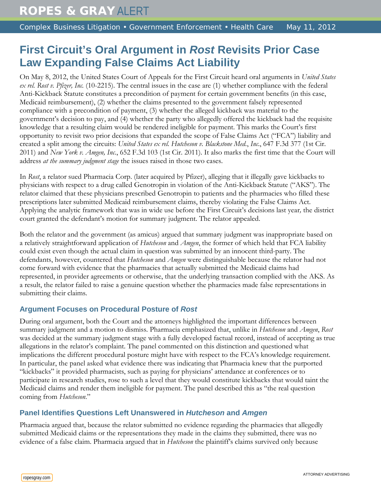# **First Circuit's Oral Argument in** *Rost* **Revisits Prior Case Law Expanding False Claims Act Liability**

On May 8, 2012, the United States Court of Appeals for the First Circuit heard oral arguments in *United States ex rel. Rost v. Pfizer, Inc.* (10-2215). The central issues in the case are (1) whether compliance with the federal Anti-Kickback Statute constitutes a precondition of payment for certain government benefits (in this case, Medicaid reimbursement), (2) whether the claims presented to the government falsely represented compliance with a precondition of payment, (3) whether the alleged kickback was material to the government's decision to pay, and (4) whether the party who allegedly offered the kickback had the requisite knowledge that a resulting claim would be rendered ineligible for payment. This marks the Court's first opportunity to revisit two prior decisions that expanded the scope of False Claims Act ("FCA") liability and created a split among the circuits: *United States ex rel. Hutcheson v. Blackstone Med.*, *Inc*., 647 F.3d 377 (1st Cir. 2011) and *New York v. Amgen, Inc.*, 652 F.3d 103 (1st Cir. 2011). It also marks the first time that the Court will address *at the summary judgment stage* the issues raised in those two cases.

In *Rost*, a relator sued Pharmacia Corp. (later acquired by Pfizer), alleging that it illegally gave kickbacks to physicians with respect to a drug called Genotropin in violation of the Anti-Kickback Statute ("AKS"). The relator claimed that these physicians prescribed Genotropin to patients and the pharmacies who filled these prescriptions later submitted Medicaid reimbursement claims, thereby violating the False Claims Act. Applying the analytic framework that was in wide use before the First Circuit's decisions last year*,* the district court granted the defendant's motion for summary judgment. The relator appealed.

Both the relator and the government (as amicus) argued that summary judgment was inappropriate based on a relatively straightforward application of *Hutcheson* and *Amgen*, the former of which held that FCA liability could exist even though the actual claim in question was submitted by an innocent third-party. The defendants, however, countered that *Hutcheson* and *Amgen* were distinguishable because the relator had not come forward with evidence that the pharmacies that actually submitted the Medicaid claims had represented, in provider agreements or otherwise, that the underlying transaction complied with the AKS. As a result, the relator failed to raise a genuine question whether the pharmacies made false representations in submitting their claims.

## **Argument Focuses on Procedural Posture of** *Rost*

During oral argument, both the Court and the attorneys highlighted the important differences between summary judgment and a motion to dismiss. Pharmacia emphasized that, unlike in *Hutcheson* and *Amgen*, *Rost* was decided at the summary judgment stage with a fully developed factual record, instead of accepting as true allegations in the relator's complaint. The panel commented on this distinction and questioned what implications the different procedural posture might have with respect to the FCA's knowledge requirement. In particular, the panel asked what evidence there was indicating that Pharmacia knew that the purported "kickbacks" it provided pharmacists, such as paying for physicians' attendance at conferences or to participate in research studies, rose to such a level that they would constitute kickbacks that would taint the Medicaid claims and render them ineligible for payment. The panel described this as "the real question coming from *Hutcheson*."

## **Panel Identifies Questions Left Unanswered in** *Hutcheson* **and** *Amgen*

Pharmacia argued that, because the relator submitted no evidence regarding the pharmacies that allegedly submitted Medicaid claims or the representations they made in the claims they submitted, there was no evidence of a false claim. Pharmacia argued that in *Hutcheson* the plaintiff's claims survived only because